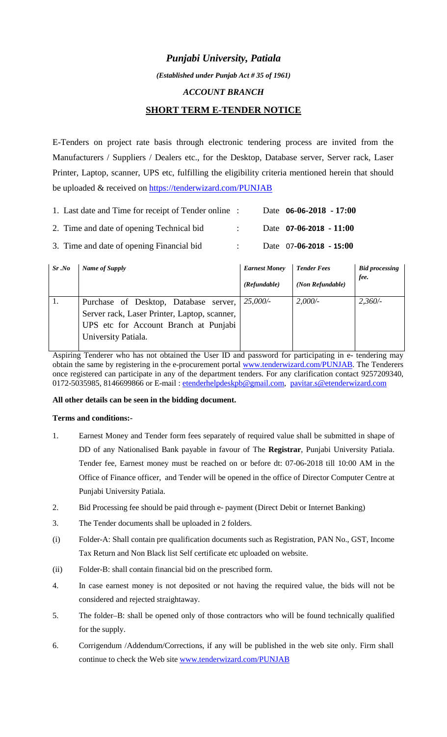# *Punjabi University, Patiala*

*(Established under Punjab Act # 35 of 1961)*

#### *ACCOUNT BRANCH*

# **SHORT TERM E-TENDER NOTICE**

E-Tenders on project rate basis through electronic tendering process are invited from the Manufacturers / Suppliers / Dealers etc., for the Desktop, Database server, Server rack, Laser Printer, Laptop, scanner, UPS etc, fulfilling the eligibility criteria mentioned herein that should be uploaded & received on <https://tenderwizard.com/PUNJAB>

| 1. Last date and Time for receipt of Tender online : |  | Date $06-06-2018 - 17:00$     |
|------------------------------------------------------|--|-------------------------------|
| 2. Time and date of opening Technical bid.           |  | Date $07-06-2018 - 11:00$     |
| 3. Time and date of opening Financial bid            |  | Date $07 - 06 - 2018 - 15:00$ |

| Sr.No | Name of Supply                               | <b>Earnest Money</b> | <b>Tender Fees</b> | <b>Bid processing</b> |
|-------|----------------------------------------------|----------------------|--------------------|-----------------------|
|       |                                              | (Refundable)         | (Non Refundable)   | fee.                  |
|       | Purchase of Desktop, Database server,        | 25,000/              | 2,000/             | 2,360/                |
|       | Server rack, Laser Printer, Laptop, scanner, |                      |                    |                       |
|       | UPS etc for Account Branch at Punjabi        |                      |                    |                       |
|       | University Patiala.                          |                      |                    |                       |

Aspiring Tenderer who has not obtained the User ID and password for participating in e- tendering may obtain the same by registering in the e-procurement portal [www.tenderwizard.com/PUNJAB.](http://www.tenderwizard.com/PUNJAB) The Tenderers once registered can participate in any of the department tenders. For any clarification contact 9257209340, 0172-5035985, 8146699866 or E-mail: etenderhelpdeskp[b@gmail.com](mailto:@gmail.com), [pavitar.s@etenderwizard.com](mailto:pavitar.s@etenderwizard.com)

#### **All other details can be seen in the bidding document.**

#### **Terms and conditions:-**

- 1. Earnest Money and Tender form fees separately of required value shall be submitted in shape of DD of any Nationalised Bank payable in favour of The **Registrar**, Punjabi University Patiala. Tender fee, Earnest money must be reached on or before dt: 07-06-2018 till 10:00 AM in the Office of Finance officer, and Tender will be opened in the office of Director Computer Centre at Punjabi University Patiala.
- 2. Bid Processing fee should be paid through e- payment (Direct Debit or Internet Banking)
- 3. The Tender documents shall be uploaded in 2 folders.
- (i) Folder-A: Shall contain pre qualification documents such as Registration, PAN No., GST, Income Tax Return and Non Black list Self certificate etc uploaded on website.
- (ii) Folder-B: shall contain financial bid on the prescribed form.
- 4. In case earnest money is not deposited or not having the required value, the bids will not be considered and rejected straightaway.
- 5. The folder–B: shall be opened only of those contractors who will be found technically qualified for the supply.
- 6. Corrigendum /Addendum/Corrections, if any will be published in the web site only. Firm shall continue to check the Web site [www.tenderwizard.com/PUNJAB](http://www.tenderwizard.com/PUNJAB)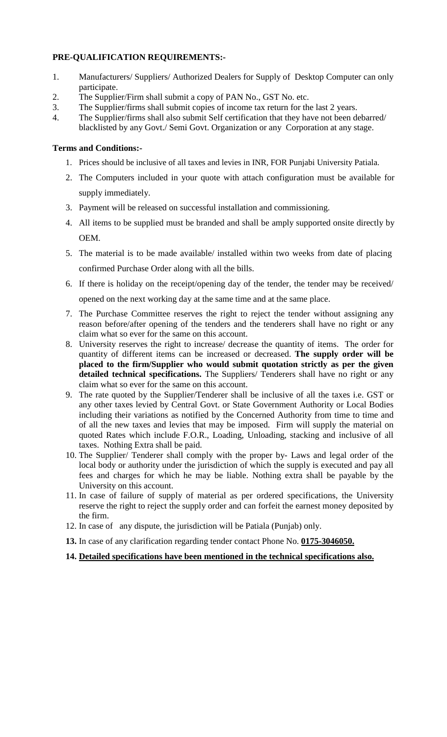### **PRE-QUALIFICATION REQUIREMENTS:-**

- 1. Manufacturers/ Suppliers/ Authorized Dealers for Supply of Desktop Computer can only participate.
- 2. The Supplier/Firm shall submit a copy of PAN No., GST No. etc.
- 3. The Supplier/firms shall submit copies of income tax return for the last 2 years.
- 4. The Supplier/firms shall also submit Self certification that they have not been debarred/ blacklisted by any Govt./ Semi Govt. Organization or any Corporation at any stage.

### **Terms and Conditions:-**

- 1. Prices should be inclusive of all taxes and levies in INR, FOR Punjabi University Patiala.
- 2. The Computers included in your quote with attach configuration must be available for supply immediately.
- 3. Payment will be released on successful installation and commissioning.
- 4. All items to be supplied must be branded and shall be amply supported onsite directly by OEM.
- 5. The material is to be made available/ installed within two weeks from date of placing confirmed Purchase Order along with all the bills.
- 6. If there is holiday on the receipt/opening day of the tender, the tender may be received/ opened on the next working day at the same time and at the same place.
- 7. The Purchase Committee reserves the right to reject the tender without assigning any reason before/after opening of the tenders and the tenderers shall have no right or any claim what so ever for the same on this account.
- 8. University reserves the right to increase/ decrease the quantity of items. The order for quantity of different items can be increased or decreased. **The supply order will be placed to the firm/Supplier who would submit quotation strictly as per the given detailed technical specifications.** The Suppliers/ Tenderers shall have no right or any claim what so ever for the same on this account.
- 9. The rate quoted by the Supplier/Tenderer shall be inclusive of all the taxes i.e. GST or any other taxes levied by Central Govt. or State Government Authority or Local Bodies including their variations as notified by the Concerned Authority from time to time and of all the new taxes and levies that may be imposed. Firm will supply the material on quoted Rates which include F.O.R., Loading, Unloading, stacking and inclusive of all taxes. Nothing Extra shall be paid.
- 10. The Supplier/ Tenderer shall comply with the proper by- Laws and legal order of the local body or authority under the jurisdiction of which the supply is executed and pay all fees and charges for which he may be liable. Nothing extra shall be payable by the University on this account.
- 11. In case of failure of supply of material as per ordered specifications, the University reserve the right to reject the supply order and can forfeit the earnest money deposited by the firm.
- 12. In case of any dispute, the jurisdiction will be Patiala (Punjab) only.
- **13.** In case of any clarification regarding tender contact Phone No. **0175-3046050.**

## **14. Detailed specifications have been mentioned in the technical specifications also.**